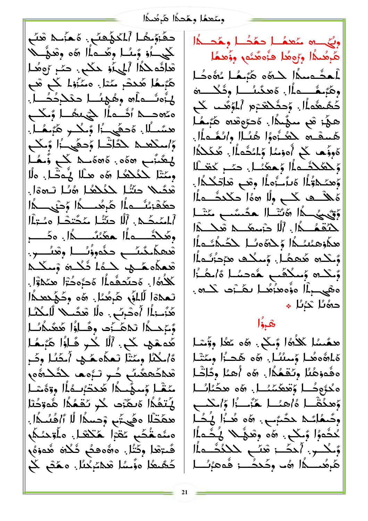ومفعفا وهجاا هرهماا

حفَرَهُ مثَمَّا أَلْمَكَهُ عَنِي مَعْنَى هَنَّ كَجِيباُوْ وُسُلًّا وهُــولًا هُو وِهْدُكُمْ ۖ هْاهُمْحَمَّا ٱلْمَحْمَّا فَحَكْمٍ. حَبْرٍ رُوهُـا هُبُمُا هُدَمَ مُثَلِّ مِمْنُوْا كُلِّ هُلِ لِنُونُــولُم وهُمْنُــا حنْحْرِحُحُــا. ەمەدىكە أُشْــەلُمْ كَيْسِعُــا وُمكْــى هسَّىلًا. ەَحقَّى أَ وَ كُلِّر هُبُمُا. وَاسْتَعْدَ حَقَّاتٌ أَوْحَقَىٰ أَوْ وَحَكَمَ لِمَعْنُبِ مِهْمٍ . هُ مِهْمِيمٍ لِمَ يُمْمِلُ ومَثْلَا لِكَحْفُطِ هَءٍ هِـلَا يُـوَثُّـلِ. وَلَا هْشُمْلا حَتَنَا لِمُحْكَمَلِ هُنَا تَوَوْلَ. حعَفْزَعُنْـــماُ! هُرمُدــــدُا وَحْيَىـــدُا أَعْمَمَكُمْ. أَلَّا حَتَنَا مَدَّتَدَا وَحْتَرَا وهَكِدُّــــه اُل هِعَمُنُسُــــدُا. هكَــــــرِ مْعِكْنِمُنَّـــع حَدُّووُنُـــا وِمْنُــــو. تَعْمَلُهُ هُـــــمُ لَـــهُمْ ذَكْـــْ هُ وَسَكْـــمْ لْكُثُا. هُحنِّحفُماُ! هُحزُهخُتَا همُلاَوَّا. لَعَمْدَا لَٰالمَوْ ۚ هُرِهُمُا ۚ. وَهُ وَحَجَّمَعِهُا هَّنۡـۃِـلَٰٓا أَهۡدَىٰٓبَ . هِلَّا شَكُــٰـلا لَّاسُكْـُـٰا وًعَمِدِهُا تَدَهَّــزَد وقَــاؤُا هَعْدَدُنَــا هُدهَهِ كُلِّي. أَلَّا كُلِّرٍ قَـٰاؤُا هَبُنُهُـا ة/مكْلًا ومَنْنَا تَعَكُّدَهُمْ أَمَثَنَا وَكَ هُكْتُحْمَدْتُمْ تُبْرِدْ شُرُوبُ لِلشَّكْلِثُومِ مَعْشَا وَمِعِهُمْ الْمَحْدَّرُبِدُاْ وِوَدَّسْهَ لِّتَعُمَّا هَىعَبْتِ كُمِ تَقْمُمَّا هُءتِحُنَّا هِهَٰتُاا هِ فَهِيَّ وَحِسِدًا لَا ٱاْصُلُـدًا. مِنْمَعْكَمٍ مُقْرًا هَنْكُفَا. مِلَّوْحَنُكُم هُـتمْدا وِكْتُا. ەھُەھكُم مُّكْفَ هُدَوْهُم كَهُىعُا ەؤَسُا شَامْبِكْلًا. مَكَنْ كَلِ

ويجدده متعفا حقفا وهما هُرِهُدِهُا وَرُوهُا فَزُوهُكُمْ وَؤَهِمُا أهدً عمدًا لِهُمْ هُبُهُما مُؤُومًا وهَبُمڤُـــهأل. هُعدَّمُنُـــا وثُكْـــغ كَتَمَعْدَاً. وُحثَكْثَرَهِ ٱلْمُؤَمَّـ كُلِّ هِيَّ: ثُم سَيُّسُدًا. هُجَوْهُدُه هُبُسُمًا هُمِيفَ بِهِ حَجَدٌوْا هُبُـاا وابُغُـولًا . هُوِزُها ﴾ أُهوَسُا وُلْمُشَا اللَّهُ اللَّهُ مَا اللَّهُ مَكَلَّمُ ا وَحْكَحْشُـماُ! وَحَكَمُـا. حَمْـ ۚ كَعَنْـلَا! وَهمْـدْوُٰٰٰٰٓٓٓٓا هَىٰٓىٰٓعَآاْ وِهْبِ هْاتْـكْـدًا . هُلْكُــْـْ كُلّْــِ وِلَا هِهُ! حَكْدَشُــْمَلَا! وَقِيْ الْمُتَّالِ هَدَّسْبٍ مَنْهَا حْتَفَـٰهُـٰ ﴾ أَلَّا حَبْمِعَـٰهِ مْكَـٰهَا هِكُوْهِنْنُدُا وَلِكُوْهِنَا لِكَثِيكُ وَالْمُ وُكْلِهِ هُھِھُلْ. وُسِكُّھ هُرَدُتُومُاْ وَّىكْدە وَمىڭگىم ھُەھسُل ەَُالصُّدَٰا<br>دىھىسبىلَا دۆدھدە كىلەر حەمُل كېرُل ، ۿڔۏؙٛٳ

هِمَسُلِ ݣَلَاهُ! وُسَكَّى. هُءٍ حَعْدُ وِقُسْل كَارْقُوهُما وُسِئْنَا. 6ه هُجِيْزا وِسَتْنَا هفُمزهُنُا ويُقْعُدُا. هُم أُهنُا وثَاتْبَا ەڭدۇمۇسا ۋەدەئىئىسا. ھە ھۇئائىل وَهِدُغْسًا هُاهِمُسا هُنُوسُرًا وَٱسْلَمِ وِحَْتَهَٰلَـٰہٗ حَجَّنَہٖب ، وَہ هُـٰہُۢ لِمَـٰہُٗ لَـٰ كُثُّەرُا وُحكّى. ۞ه وقْدَهُكُ لَيُشُمَأَا وَّىكْسِ. أَحْضَـٰ; قْتَبِ لِكَكْشُـٰـهِ أَا هُرِهُــــــهُّا هُــْ وَحُـدَحُـــْ فَـْمِهْرَئَـــا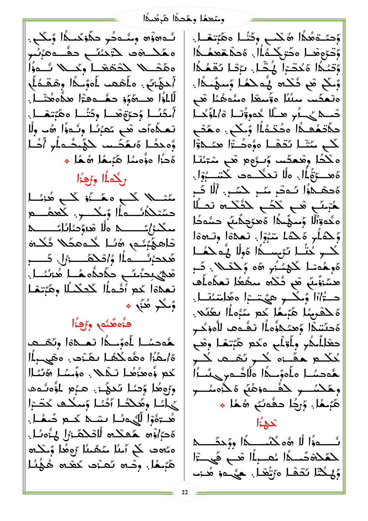ومفعفا وهّددًا هُرِهُداً

ئَــةُ، ومُــُـةَـدُو حَكَّوَكُـدَدًّا وَّمَكُــدٍ. ەھّكـــەد خىكئى دەئــەمۇئىر ەڭشىلا باشقىشىل وڭيىلا ئىسەۋا أَحكَنَ . هلَقَعَد لَمَوْسَمًا وِهْقَمُلَا لَّالمُوَّا محــةَوِّو حـمَــوغرَّا محدُّومُتـَـــا. أَحْنُــا وَحرّةِهْــا وكتُــا مكّتِـمْــا. تَـمَـكَاهَأَتَ هُـم مُـٰدَبُـُـلِ وِشَـهَوُّا هُـد وِلَٰلَ وُهدَٰـٰہ ہٗىـمۡكَــٰب لِكَہۡـدُـٰـہِ ۖ أُخُـٰلَہ وْدُا وَوُوسُا هَٰبُهُا هُمُا ﴾ وبكمأا وزجزا

مئتسلا كمسع مكسنُو كمسع هُنئسا حمَّتْكُلاًــــــه الْمُ وَحُكْــــــــو . كَعْعَمْــــــع مىڭدۇ/ئىسىسىدا ھال شىرۆچئائائىسىسىدا دْاھنْ ِيَّـهِ هُـُـا گـەمكَـلا ئَـُلـه هُددرُبٌ ـــ ه/ُا وُ/ثَـدهُــــــــزُلَ. كَــــــر هْمٌ بِحِنْسَى حِكْصُوْهِ هُــا هُزْسُــا. تعاةا كع أَثَماُا كُحكْسًا وِهَبْتِمْا ۇنگىر ھُنَّى \*

## فأهقُدُم ورُهرًا

هُوجسُا لِمُورْسِيْا لَعِيدَةا وِنُتَفِيف ةُاعْقُوا وهُوكُلْهَا بِعَنْوَبٍ وهَيْ بِأَا كُم وُومِنُومًا نَـمْلا . ووُسُـا وَيَسْالُ وَرُوهُا وَحِبًا تَحِهَّـٰ: هـرُم الزُّوتُـُوف خلائنا وهلائما أئئنا وملكف لمقتوا هُـــتِوْوَا لَٰٓايُــِمـٰــا بِــْبَــِي كَــِعِ كَــِهَــا. ەَدَازْھ ھَڪْدە لْاصْحَصَّرْا لِمَزْهَلْدِ ەئەدە كى أىئا مَئْشَىئا ۋەھدا ۋىكىدە هُبُما. ودْه نُعِبْد لَحْقِه هُهُنَا

وَّتَنَدُّا هَدُدْءِاً لِمُشَا. بَرْسَا بَقَعُـدًا وَٰٓىٰٓكُمۡ شَكَّدُهُ ۖ إِنَّـٰهَا وَٰٓسِوۡمَـٰٰٓهَٰٓا ۚ ۖ } ەتمۇسا مىللا ەۋمىغا مىئەھلا قى تْسِيمْ حَيْ رُسِ مِنْ الْمُدْوِقُوْسَا وْالْمُؤْكْسَا حكَاتَمُعَــدُا هَـتَـدُاُ أَمِّـكَــ هُمَّتَـــمَّـــــ كُم مَتْهَا تَتَعْمَا هَؤُهُمُ ۚ وَا هَمُ هَوْا ەڭكا وقىمكىپ ۆلىۋەم قىي مىتنىل هُهِـــرَّةُ أَلْ. هِلًا تَـدَكْـــوتِ كَتَبَـــرَّوْلَ. ەُحھَـٰٰھوٗا ئـُـٰہوۡۖ مُـُــِ كَئـَــِ ۚ. ٱلۡا كَــِ هُبْسًم هُم كُكُم لِمُثَلِّده تصلُّا مَكُمْوَٱلْا وُسَهُّسُمَّا هُمْرُحِكَّسَ صَنُمْحَا وَحِكْلُو هَجْدًا سَبْوَا. تَعْجَمَةًا وِتَّحَةًا لْحُــرِ كُتُــا تَوَّىســدًا هَوِلًا يُـْمَـحْسَــا ەْمِھُەتا ݣَكْهْنُو ھُە ۆڭگىلا. كَع ھىئاؤَىّە ھَم ئَكْلَا مىھُھُا تىمگاەلگ حِيًّآاْ وُحُجِ مِهْتَمْ! هَفَاسْتُنْهِ!. هَ حَقَى مَا هُ بَعْدِ مَنْ مَا الْعَلَىٰ: هُحنّتْىٰٓا وۡعِنّـٰ\وَّٰہۚاْا نَـفُـٰہٖ الْأُوۡحُـٰرِ حغالمُكُو ولُقِلْمٍ مكَّع هُبْتَهَا وِثْبَ مُكْتَمْ هَفَّ:هُ كُتْبَرٍ نُتَّفَتَ كُتْبَرٍ الْمَسْرِ بِمِكَالًا وَالْمُسْوَوَا مِنْ الْمُحْمَدُ وهَكْسُبِ كَفَّرِ؎وْهُمٌ هَكَأُهُ مُسْبِرٍ هَّبُـمُّا. وُرِجًا حقَّمتُ هُـمُّا \* تحجئ ئَــــوٰزًا لَّا رُوَّەكْنُـــــدُّا ووَّحتَـــــــــــا لِمَحْدَةَ حَـــدًا عَـــبِلًا هَـــ وَ حَيْـــۃًا وَٰلِكُنَّا تَتَفْا وَرَتُعْا لِمَعْيَدِهِ مُنَهَا

وَحِسَّـةهُدًا هُكْبٍ وِكُتُـا هِهَّتِـمْـا.

وۡدَوۡوَهُــا وَحَٰٓوَيَكُــٰمَاٗا ۚ. وَحِدۡكَمَعُـٰهَا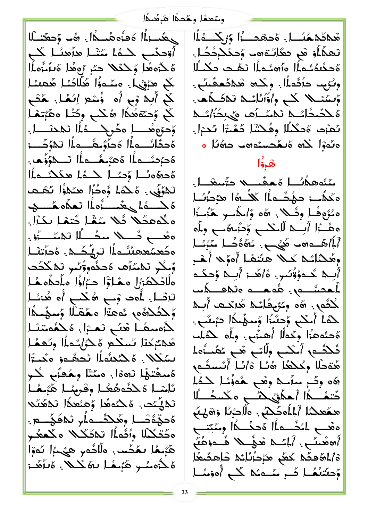ومفعفا وهجاا هرهما

بِلْكُمَةِ مَاهُ . الْمُسْمَّدُ أَلْمَسْكُمْ يَعْمَلْ الْمُسْكَمِرِ أَوْحِكُبِ كَـهُا مَتْتَـا هزَهنُـا كَبِ هُكُوهُا وُكِلْدًا حَبٍّ رُوهُا هَىٰلُوْهِاْ لَحْ هَبْنِي لِ. وَسَّوَٰوُا هَٰلَائُنَا هَٰعِبْنَا كُمْ أَبِيْ وَمِنْ أَنْ أُسْعَ إِنْشَاءٍ. هَتْمِ كُمْ وَحَتَّمَعُكُلُّ هُكُمْ وِكْتُمْ مِكْبَنْهُمْ وَحرِّهِ هُـــــا •حُـرجـــــهُـاُا تمحتــــا. هُحكِّانٌـــوارًا هُجِزَّهُــهُـــوارًا ثَلاَوِّجُـــــ; هُجَرْجَدُ والْمُ هَرْمِيْهُ والْمَلْ الْمَحْرَوْنَهُ . هُدهُوسُا وُصُلِ لِحِسْهُا هِكُشُدهُاْ لْكَاوَّنِّي . هَ كَمُلْ وُهِ دُرُّا هِمْكَاوُّا نَتْقَبَّ م هُ هُ هُ الْمَنْ مِيْسِ لَهْ كَهْ ه نُدهكُم فَلا مُقْل حُتمْل بِكَـرْا. ه تَصِيحِ شَمِيحٍ مِنْ سُلَّا تَمْسَمَ أَوْ. ەكھىنھھىنى دار كىكى ، ەكتتىل وًىكُو تَكْمَكَاهَا ةَحَذُّەوَتُكُو تَكَلَّحُت ولُائْكَتَمْرُلْ وَهَارَةُا حَبَّارُهُ وَأَنَّذُوهُ هُا لَاتْــا. لمُات وْــــ 20 كُلْــــ أَه هُنْــُـا وَحِدُحَيْنَ الْمَعَمَّةُ الْمَحْمَدِيَّةُ الْمَحْمَدِيَّةُ كُوْمِيعُا قُتِّبِ تَعْتَزَا. وَكَعُومَتْنَا هَدَيْكِنَا سُبْكُم هَكْزُلُوْءَ وتَحِمُّا سَكْلاً . هَكْدُثُماُ الْحَقُّورِ وَكُنْتَرَا ەَمىقْتْتْمَا ئەۋا. ەمنىْل وھُفْبُ كْب لَلْسْلَ هَٰـلاَشُـهِـهُـمُـل وَقَعِيمُـل كَبُنِـهُـلّ تَمْلَىِّت. هَـٰكُـٰهِ مَا وَعِنْعِدًا تَـٰهَمَنَـٰه هُحهِّفُصْـا وهُـلأَـــملُر لَـمْفَهَّـــم . ەكْتْݣْلَا وٖاُثْماٰا نْدْكْݣْدْ ەݣْھْدْ هُرُحمًا بِمَكْتٍ. وَلَأَخْوِرٍ هِيُجَرًا تَوَرَأَ ەڭدەسىر ھۇسكىل بەشكىلا. ەللاھە

هْكُكْمُفُـُــلْ. هُحِعْجَـــزُّلْ وِّزِيْكَـــمُلَّلَ تَعطَلُو هُم حعَّابٌـةهـٰ وِّحثَـٰا مِحْبُحُحًا. هُحكُنفُشَاً الْمَثْمَاً الْنَفَت تَكْتُلَا وِنُرِّب حَاثُماً أَ. وِكْلُ هُلاَكُمفَنَّعَ. وَسَمْتَىلاً كُلَّى واؤْائْلُسُكُ لَكَاظُكُمْ. هَ حَكْسُكُمْ لَمْسَلَمَهُ مَهْدَاتُكُمْ ىُعْزَى هُدَكْمُلا وِقُحْشًا دَهُنْزَا بَحْرَا. ەئەۋا ئلاھ ەتمكىسئەھە دەئلا ؛ <u>شهُ</u> مَنُوهِدُكُمْ وَحَقَّدِ دَرَّسِعْكُمْ. ەڭگى: دۇخُـەلُمْ ݣْلْـەْ ھۆدىُنْـا ەمُؤەھُّا وشْكلا . قە ۋامكْسو ھَنْسَرَٰا ههُــْزَا أَبِــدَ لَاعْنَـبِ وَحَنَّـدَهُـبٍ وِلَمَّه لْمَالِكَةَ الْمُؤْمَنَ بِمِنْ مُعَاهَدَ الْمَبْنَاءِ وهُكُلْئُكُ كُلُّلٌ هِتَنْقُلُ أُورُكُ أُهْرِ أَبِــِـمْ خُــٰـٰءوُوُّنُـٰبٍ. هُ/هَٰــٰ; أَبِــِمْ وَحِكْـٰـهِ مُمصنًات وسعده وتَماد المُستَمَر لْحُثُم. ۞ه ومَّهُطُلُه هَٰلَهِ مَا لَهِ َكْمَا أَحْكَمِ وَحِنَّنُا وَمِيهُكُمَا حَبَّسًى. هُحنُهِ مَٰٓا ۖ وِكُمالًا ۖ أُهنَّنِي ۖ وِلَمَّه ۖ حَهْلَت ثَلاثَــهِ أَسْلَـــم وِلَٰاتــم ثَعـــ تَعَسَنُه ا هَٰڌَحْلاً وِحُكَٰظُلَّا هُ ُمَا ۚ هُ ُمُنَا ۖ أَنُسَخُّمٍ ۖ هُه وِكْمٍ مِلَاحِظٍ وَهْمٍ هُوَٰئُمَا لِحَـٰهُ ا تَتَمُــدُا أَحِكَوْنَىكُمْــ وَكَسْدَــُلَا همُعدا ٱلملَّاهَكُمْ. هلَّادَبُنَّا وَهْلِيَّ هقب لمُشْــهلَا هُحكُــدًا وِمَبّتِب أُهقَينَــمِ. أَلِمَــدْ قَدِيَّــدْ فَــوهُمَّـ ة/ﺎﻫَﺣَﻜَﺪ ﻛَﻌَﻞ ﻣَﺮَﺣَّۥُﻧُﻠَّﺪ ﺣَﺎﺣِﻌَـَّﻌْﺪُ وَحِتَنَتُهُا كَبِ مَحْدَثَهُ كُلِّي أُوفِسُا